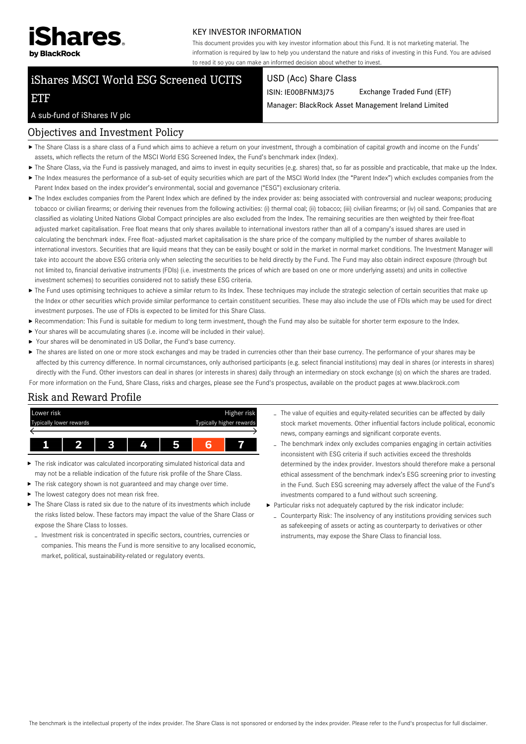

#### KEY INVESTOR INFORMATION

This document provides you with key investor information about this Fund. It is not marketing material. The information is required by law to help you understand the nature and risks of investing in this Fund. You are advised to read it so you can make an informed decision about whether to invest.

# iShares MSCI World ESG Screened UCITS

#### USD (Acc) Share Class

ISIN: IE00BFNM3J75 Exchange Traded Fund (ETF)

Manager: BlackRock Asset Management Ireland Limited

#### A sub-fund of iShares IV plc

ETF

#### Objectives and Investment Policy

- The Share Class is a share class of a Fund which aims to achieve a return on your investment, through a combination of capital growth and income on the Funds' assets, which reflects the return of the MSCI World ESG Screened Index, the Fund's benchmark index (Index).
- ▶ The Share Class, via the Fund is passively managed, and aims to invest in equity securities (e.g. shares) that, so far as possible and practicable, that make up the Index.
- ▶ The Index measures the performance of a sub-set of equity securities which are part of the MSCI World Index (the "Parent Index") which excludes companies from the Parent Index based on the index provider's environmental, social and governance ("ESG") exclusionary criteria.
- ▶ The Index excludes companies from the Parent Index which are defined by the index provider as: being associated with controversial and nuclear weapons; producing tobacco or civilian firearms; or deriving their revenues from the following activities: (i) thermal coal; (ii) tobacco; (iii) civilian firearms; or (iv) oil sand. Companies that are classified as violating United Nations Global Compact principles are also excluded from the Index. The remaining securities are then weighted by their free-float adjusted market capitalisation. Free float means that only shares available to international investors rather than all of a company's issued shares are used in calculating the benchmark index. Free float–adjusted market capitalisation is the share price of the company multiplied by the number of shares available to international investors. Securities that are liquid means that they can be easily bought or sold in the market in normal market conditions. The Investment Manager will take into account the above ESG criteria only when selecting the securities to be held directly by the Fund. The Fund may also obtain indirect exposure (through but not limited to, financial derivative instruments (FDIs) (i.e. investments the prices of which are based on one or more underlying assets) and units in collective investment schemes) to securities considered not to satisfy these ESG criteria.
- ▶ The Fund uses optimising techniques to achieve a similar return to its Index. These techniques may include the strategic selection of certain securities that make up the Index or other securities which provide similar performance to certain constituent securities. These may also include the use of FDIs which may be used for direct investment purposes. The use of FDIs is expected to be limited for this Share Class.
- Recommendation: This Fund is suitable for medium to long term investment, though the Fund may also be suitable for shorter term exposure to the Index.
- Your shares will be accumulating shares (i.e. income will be included in their value).
- Your shares will be denominated in US Dollar, the Fund's base currency.
- The shares are listed on one or more stock exchanges and may be traded in currencies other than their base currency. The performance of your shares may be affected by this currency difference. In normal circumstances, only authorised participants (e.g. select financial institutions) may deal in shares (or interests in shares) directly with the Fund. Other investors can deal in shares (or interests in shares) daily through an intermediary on stock exchange (s) on which the shares are traded. For more information on the Fund, Share Class, risks and charges, please see the Fund's prospectus, available on the product pages at www.blackrock.com

# Risk and Reward Profile



- ь The risk indicator was calculated incorporating simulated historical data and may not be a reliable indication of the future risk profile of the Share Class.
- The risk category shown is not guaranteed and may change over time.
- $\blacktriangleright$  The lowest category does not mean risk free.
- $\blacktriangleright$  The Share Class is rated six due to the nature of its investments which include the risks listed below. These factors may impact the value of the Share Class or expose the Share Class to losses.
- Investment risk is concentrated in specific sectors, countries, currencies or companies. This means the Fund is more sensitive to any localised economic, market, political, sustainability-related or regulatory events.
- The value of equities and equity-related securities can be affected by daily stock market movements. Other influential factors include political, economic news, company earnings and significant corporate events.
- The benchmark index only excludes companies engaging in certain activities inconsistent with ESG criteria if such activities exceed the thresholds determined by the index provider. Investors should therefore make a personal ethical assessment of the benchmark index's ESG screening prior to investing in the Fund. Such ESG screening may adversely affect the value of the Fund's investments compared to a fund without such screening.
- Particular risks not adequately captured by the risk indicator include:
	- Counterparty Risk: The insolvency of any institutions providing services such as safekeeping of assets or acting as counterparty to derivatives or other instruments, may expose the Share Class to financial loss.